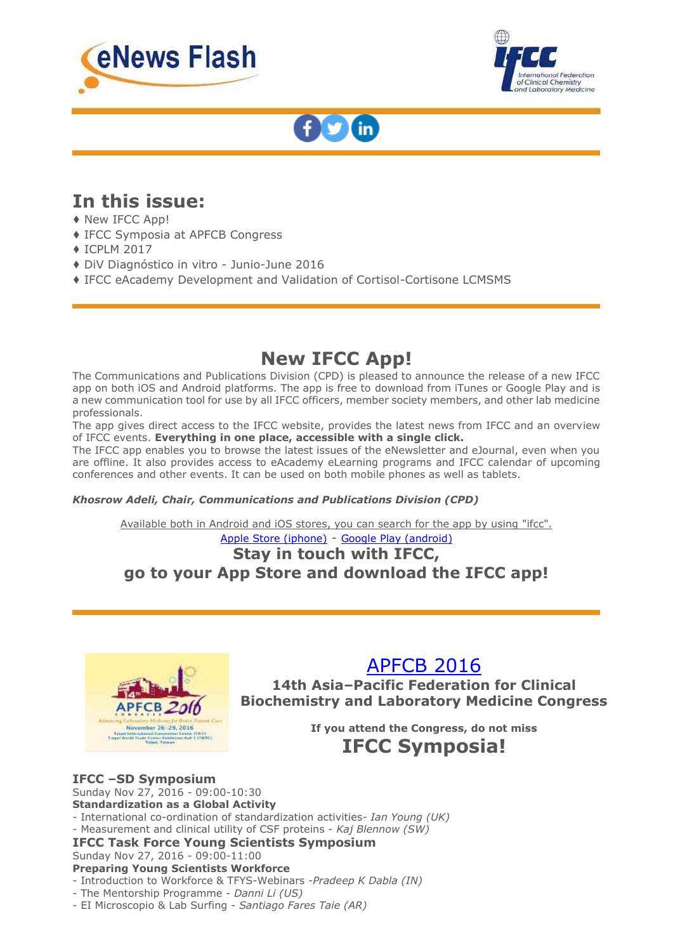





## **In this issue:**

- ♦ New IFCC App!
- ♦ IFCC Symposia at APFCB Congress
- ♦ ICPLM 2017
- ♦ DiV Diagnóstico in vitro Junio-June 2016
- ♦ IFCC eAcademy Development and Validation of Cortisol-Cortisone LCMSMS

## **New IFCC App!**

The Communications and Publications Division (CPD) is pleased to announce the release of a new IFCC app on both iOS and Android platforms. The app is free to download from iTunes or Google Play and is a new communication tool for use by all IFCC officers, member society members, and other lab medicine professionals.

The app gives direct access to the IFCC website, provides the latest news from IFCC and an overview of IFCC events. **Everything in one place, accessible with a single click.**

The IFCC app enables you to browse the latest issues of the eNewsletter and eJournal, even when you are offline. It also provides access to eAcademy eLearning programs and IFCC calendar of upcoming conferences and other events. It can be used on both mobile phones as well as tablets.

### *Khosrow Adeli, Chair, Communications and Publications Division (CPD)*

Available both in Android and iOS stores, you can search for the app by using "ifcc".

### [Apple Store \(iphone\)](http://[track]/https:/itunes.apple.com/app/ifcc-app/id1130653804:rQS$:mt=8) - [Google Play \(android\)](http://[track]/https:/play.google.com/store/apps/details:rQS$:id=dk.insoft.ifcc)

### **Stay in touch with IFCC, go to your App Store and download the IFCC app!**



## [APFCB 2016](http://[track]/http:/www.apfcbcongress2016.org/index.html)

**14th Asia–Pacific Federation for Clinical Biochemistry and Laboratory Medicine Congress**

**If you attend the Congress, do not miss**

## **IFCC Symposia!**

### **IFCC –SD Symposium**

Sunday Nov 27, 2016 - 09:00-10:30 **Standardization as a Global Activity**

- International co-ordination of standardization activities*- Ian Young (UK)*
- Measurement and clinical utility of CSF proteins *Kaj Blennow (SW)*

#### **IFCC Task Force Young Scientists Symposium** Sunday Nov 27, 2016 - 09:00-11:00

**Preparing Young Scientists Workforce**

- Introduction to Workforce & TFYS-Webinars -*Pradeep K Dabla (IN)*
- The Mentorship Programme *Danni Li (US)*
- EI Microscopio & Lab Surfing *Santiago Fares Taie (AR)*